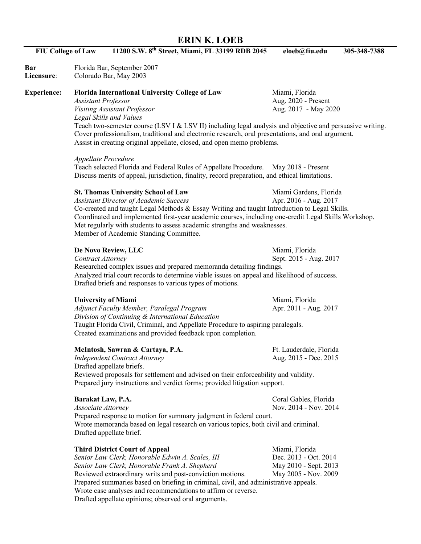## **ERIN K. LOEB**

| <b>FIU College of Law</b> | 11200 S.W. 8 <sup>th</sup> Street, Miami, FL 33199 RDB 2045                                                                                                                                                                                                                                                                                                                 | eloeb@fiu.edu                                                                            | 305-348-7388 |  |
|---------------------------|-----------------------------------------------------------------------------------------------------------------------------------------------------------------------------------------------------------------------------------------------------------------------------------------------------------------------------------------------------------------------------|------------------------------------------------------------------------------------------|--------------|--|
| Bar<br>Licensure:         | Florida Bar, September 2007<br>Colorado Bar, May 2003                                                                                                                                                                                                                                                                                                                       |                                                                                          |              |  |
| <b>Experience:</b>        | <b>Florida International University College of Law</b><br><b>Assistant Professor</b>                                                                                                                                                                                                                                                                                        | Miami, Florida<br>Aug. 2020 - Present                                                    |              |  |
|                           | Visiting Assistant Professor<br>Legal Skills and Values                                                                                                                                                                                                                                                                                                                     | Aug. 2017 - May 2020                                                                     |              |  |
|                           | Teach two-semester course (LSV I & LSV II) including legal analysis and objective and persuasive writing.<br>Cover professionalism, traditional and electronic research, oral presentations, and oral argument.<br>Assist in creating original appellate, closed, and open memo problems.                                                                                   |                                                                                          |              |  |
|                           | Appellate Procedure<br>Teach selected Florida and Federal Rules of Appellate Procedure. May 2018 - Present<br>Discuss merits of appeal, jurisdiction, finality, record preparation, and ethical limitations.                                                                                                                                                                |                                                                                          |              |  |
|                           | <b>St. Thomas University School of Law</b>                                                                                                                                                                                                                                                                                                                                  | Miami Gardens, Florida                                                                   |              |  |
|                           | <b>Assistant Director of Academic Success</b><br>Co-created and taught Legal Methods & Essay Writing and taught Introduction to Legal Skills.<br>Coordinated and implemented first-year academic courses, including one-credit Legal Skills Workshop.<br>Met regularly with students to assess academic strengths and weaknesses.<br>Member of Academic Standing Committee. | Apr. 2016 - Aug. 2017                                                                    |              |  |
|                           | De Novo Review, LLC                                                                                                                                                                                                                                                                                                                                                         | Miami, Florida                                                                           |              |  |
|                           | Sept. 2015 - Aug. 2017<br><b>Contract Attorney</b><br>Researched complex issues and prepared memoranda detailing findings.<br>Analyzed trial court records to determine viable issues on appeal and likelihood of success.<br>Drafted briefs and responses to various types of motions.                                                                                     |                                                                                          |              |  |
|                           | <b>University of Miami</b><br>Adjunct Faculty Member, Paralegal Program<br>Division of Continuing & International Education                                                                                                                                                                                                                                                 | Miami, Florida<br>Apr. 2011 - Aug. 2017                                                  |              |  |
|                           | Taught Florida Civil, Criminal, and Appellate Procedure to aspiring paralegals.<br>Created examinations and provided feedback upon completion.                                                                                                                                                                                                                              |                                                                                          |              |  |
|                           | McIntosh, Sawran & Cartaya, P.A.                                                                                                                                                                                                                                                                                                                                            | Ft. Lauderdale, Florida                                                                  |              |  |
|                           | <b>Independent Contract Attorney</b><br>Drafted appellate briefs.                                                                                                                                                                                                                                                                                                           | Aug. 2015 - Dec. 2015                                                                    |              |  |
|                           | Reviewed proposals for settlement and advised on their enforceability and validity.<br>Prepared jury instructions and verdict forms; provided litigation support.                                                                                                                                                                                                           |                                                                                          |              |  |
|                           | Barakat Law, P.A.<br>Associate Attorney                                                                                                                                                                                                                                                                                                                                     | Coral Gables, Florida<br>Nov. 2014 - Nov. 2014                                           |              |  |
|                           | Prepared response to motion for summary judgment in federal court.<br>Wrote memoranda based on legal research on various topics, both civil and criminal.<br>Drafted appellate brief.                                                                                                                                                                                       |                                                                                          |              |  |
|                           | <b>Third District Court of Appeal</b><br>Senior Law Clerk, Honorable Edwin A. Scales, III<br>Senior Law Clerk, Honorable Frank A. Shepherd<br>Reviewed extraordinary writs and post-conviction motions.                                                                                                                                                                     | Miami, Florida<br>Dec. 2013 - Oct. 2014<br>May 2010 - Sept. 2013<br>May 2005 - Nov. 2009 |              |  |
|                           | Prepared summaries based on briefing in criminal, civil, and administrative appeals.<br>Wrote case analyses and recommendations to affirm or reverse.<br>Drafted appellate opinions; observed oral arguments.                                                                                                                                                               |                                                                                          |              |  |